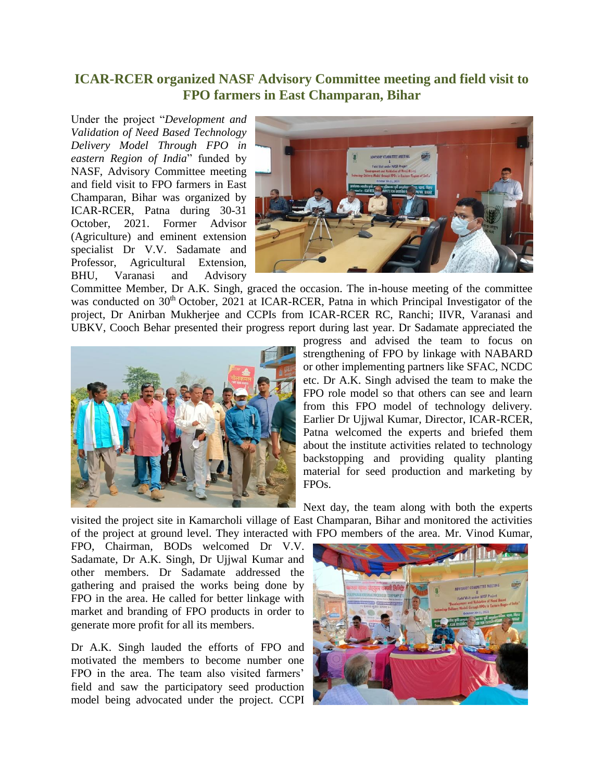## **ICAR-RCER organized NASF Advisory Committee meeting and field visit to FPO farmers in East Champaran, Bihar**

Under the project "*Development and Validation of Need Based Technology Delivery Model Through FPO in eastern Region of India*" funded by NASF, Advisory Committee meeting and field visit to FPO farmers in East Champaran, Bihar was organized by ICAR-RCER, Patna during 30-31 October, 2021. Former Advisor (Agriculture) and eminent extension specialist Dr V.V. Sadamate and Professor, Agricultural Extension, BHU, Varanasi and Advisory



Committee Member, Dr A.K. Singh, graced the occasion. The in-house meeting of the committee was conducted on 30<sup>th</sup> October, 2021 at ICAR-RCER, Patna in which Principal Investigator of the project, Dr Anirban Mukherjee and CCPIs from ICAR-RCER RC, Ranchi; IIVR, Varanasi and UBKV, Cooch Behar presented their progress report during last year. Dr Sadamate appreciated the



progress and advised the team to focus on strengthening of FPO by linkage with NABARD or other implementing partners like SFAC, NCDC etc. Dr A.K. Singh advised the team to make the FPO role model so that others can see and learn from this FPO model of technology delivery. Earlier Dr Ujjwal Kumar, Director, ICAR-RCER, Patna welcomed the experts and briefed them about the institute activities related to technology backstopping and providing quality planting material for seed production and marketing by FPOs.

Next day, the team along with both the experts

visited the project site in Kamarcholi village of East Champaran, Bihar and monitored the activities of the project at ground level. They interacted with FPO members of the area. Mr. Vinod Kumar,

FPO, Chairman, BODs welcomed Dr V.V. Sadamate, Dr A.K. Singh, Dr Ujjwal Kumar and other members. Dr Sadamate addressed the gathering and praised the works being done by FPO in the area. He called for better linkage with market and branding of FPO products in order to generate more profit for all its members.

Dr A.K. Singh lauded the efforts of FPO and motivated the members to become number one FPO in the area. The team also visited farmers' field and saw the participatory seed production model being advocated under the project. CCPI